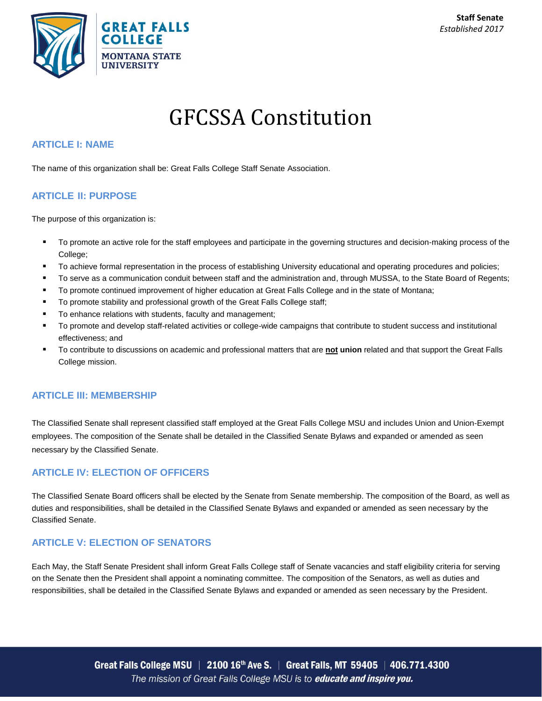

# GFCSSA Constitution

#### **ARTICLE I: NAME**

The name of this organization shall be: Great Falls College Staff Senate Association.

## **ARTICLE II: PURPOSE**

The purpose of this organization is:

- To promote an active role for the staff employees and participate in the governing structures and decision-making process of the College;
- To achieve formal representation in the process of establishing University educational and operating procedures and policies;
- To serve as a communication conduit between staff and the administration and, through MUSSA, to the State Board of Regents;
- **The Promote continued improvement of higher education at Great Falls College and in the state of Montana;**
- **To promote stability and professional growth of the Great Falls College staff;**
- To enhance relations with students, faculty and management;
- To promote and develop staff-related activities or college-wide campaigns that contribute to student success and institutional effectiveness; and
- To contribute to discussions on academic and professional matters that are **not union** related and that support the Great Falls College mission.

#### **ARTICLE III: MEMBERSHIP**

The Classified Senate shall represent classified staff employed at the Great Falls College MSU and includes Union and Union-Exempt employees. The composition of the Senate shall be detailed in the Classified Senate Bylaws and expanded or amended as seen necessary by the Classified Senate.

# **ARTICLE IV: ELECTION OF OFFICERS**

The Classified Senate Board officers shall be elected by the Senate from Senate membership. The composition of the Board, as well as duties and responsibilities, shall be detailed in the Classified Senate Bylaws and expanded or amended as seen necessary by the Classified Senate.

# **ARTICLE V: ELECTION OF SENATORS**

Each May, the Staff Senate President shall inform Great Falls College staff of Senate vacancies and staff eligibility criteria for serving on the Senate then the President shall appoint a nominating committee. The composition of the Senators, as well as duties and responsibilities, shall be detailed in the Classified Senate Bylaws and expanded or amended as seen necessary by the President.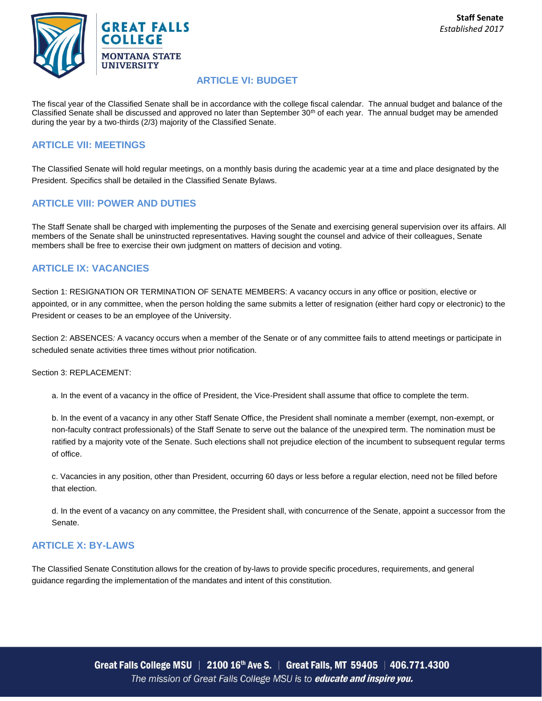

#### **ARTICLE VI: BUDGET**

The fiscal year of the Classified Senate shall be in accordance with the college fiscal calendar. The annual budget and balance of the Classified Senate shall be discussed and approved no later than September 30<sup>th</sup> of each year. The annual budget may be amended during the year by a two-thirds (2/3) majority of the Classified Senate.

## **ARTICLE VII: MEETINGS**

The Classified Senate will hold regular meetings, on a monthly basis during the academic year at a time and place designated by the President. Specifics shall be detailed in the Classified Senate Bylaws.

# **ARTICLE VIII: POWER AND DUTIES**

The Staff Senate shall be charged with implementing the purposes of the Senate and exercising general supervision over its affairs. All members of the Senate shall be uninstructed representatives. Having sought the counsel and advice of their colleagues, Senate members shall be free to exercise their own judgment on matters of decision and voting.

## **ARTICLE IX: VACANCIES**

Section 1: RESIGNATION OR TERMINATION OF SENATE MEMBERS: A vacancy occurs in any office or position, elective or appointed, or in any committee, when the person holding the same submits a letter of resignation (either hard copy or electronic) to the President or ceases to be an employee of the University.

Section 2: ABSENCES*:* A vacancy occurs when a member of the Senate or of any committee fails to attend meetings or participate in scheduled senate activities three times without prior notification.

Section 3: REPLACEMENT:

a. In the event of a vacancy in the office of President, the Vice-President shall assume that office to complete the term.

b. In the event of a vacancy in any other Staff Senate Office, the President shall nominate a member (exempt, non-exempt, or non-faculty contract professionals) of the Staff Senate to serve out the balance of the unexpired term. The nomination must be ratified by a majority vote of the Senate. Such elections shall not prejudice election of the incumbent to subsequent regular terms of office.

c. Vacancies in any position, other than President, occurring 60 days or less before a regular election, need not be filled before that election.

d. In the event of a vacancy on any committee, the President shall, with concurrence of the Senate, appoint a successor from the Senate.

#### **ARTICLE X: BY-LAWS**

The Classified Senate Constitution allows for the creation of by-laws to provide specific procedures, requirements, and general guidance regarding the implementation of the mandates and intent of this constitution.